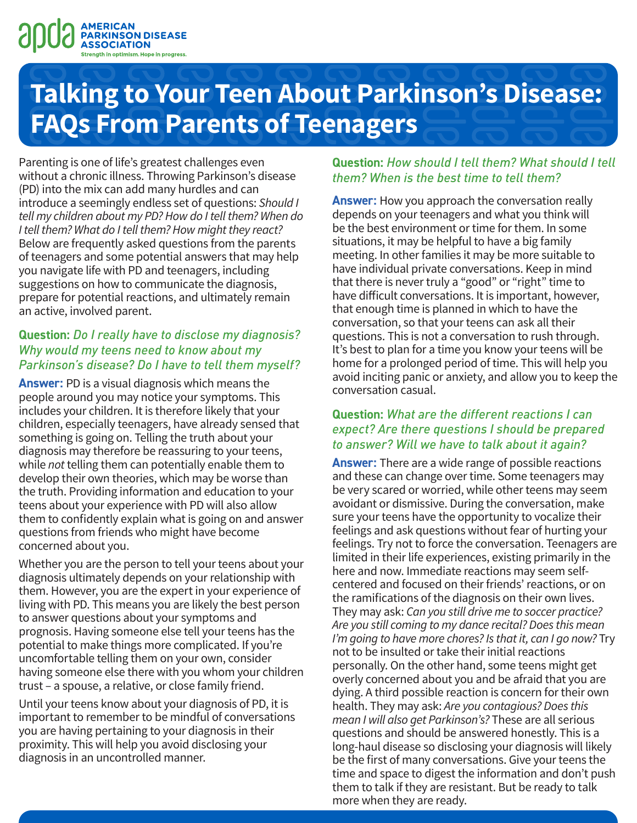

Parenting is one of life's greatest challenges even without a chronic illness. Throwing Parkinson's disease (PD) into the mix can add many hurdles and can introduce a seemingly endless set of questions: *Should I tell my children about my PD? How do I tell them? When do I tell them? What do I tell them? How might they react?* Below are frequently asked questions from the parents of teenagers and some potential answers that may help you navigate life with PD and teenagers, including suggestions on how to communicate the diagnosis, prepare for potential reactions, and ultimately remain an active, involved parent.

## **Question:** *Do I really have to disclose my diagnosis? Why would my teens need to know about my Parkinson's disease? Do I have to tell them myself?*

**Answer:** PD is a visual diagnosis which means the people around you may notice your symptoms. This includes your children. It is therefore likely that your children, especially teenagers, have already sensed that something is going on. Telling the truth about your diagnosis may therefore be reassuring to your teens, while *not* telling them can potentially enable them to develop their own theories, which may be worse than the truth. Providing information and education to your teens about your experience with PD will also allow them to confidently explain what is going on and answer questions from friends who might have become concerned about you.

Whether you are the person to tell your teens about your diagnosis ultimately depends on your relationship with them. However, you are the expert in your experience of living with PD. This means you are likely the best person to answer questions about your symptoms and prognosis. Having someone else tell your teens has the potential to make things more complicated. If you're uncomfortable telling them on your own, consider having someone else there with you whom your children trust – a spouse, a relative, or close family friend.

Until your teens know about your diagnosis of PD, it is important to remember to be mindful of conversations you are having pertaining to your diagnosis in their proximity. This will help you avoid disclosing your diagnosis in an uncontrolled manner.

## **Question:** *How should I tell them? What should I tell them? When is the best time to tell them?*

**Answer:** How you approach the conversation really depends on your teenagers and what you think will be the best environment or time for them. In some situations, it may be helpful to have a big family meeting. In other families it may be more suitable to have individual private conversations. Keep in mind that there is never truly a "good" or "right" time to have difficult conversations. It is important, however, that enough time is planned in which to have the conversation, so that your teens can ask all their questions. This is not a conversation to rush through. It's best to plan for a time you know your teens will be home for a prolonged period of time. This will help you avoid inciting panic or anxiety, and allow you to keep the conversation casual.

## **Question:** *What are the different reactions I can expect? Are there questions I should be prepared to answer? Will we have to talk about it again?*

**Answer:** There are a wide range of possible reactions and these can change over time. Some teenagers may be very scared or worried, while other teens may seem avoidant or dismissive. During the conversation, make sure your teens have the opportunity to vocalize their feelings and ask questions without fear of hurting your feelings. Try not to force the conversation. Teenagers are limited in their life experiences, existing primarily in the here and now. Immediate reactions may seem selfcentered and focused on their friends' reactions, or on the ramifications of the diagnosis on their own lives. They may ask: *Can you still drive me to soccer practice? Are you still coming to my dance recital? Does this mean I'm going to have more chores? Is that it, can I go now?* Try not to be insulted or take their initial reactions personally. On the other hand, some teens might get overly concerned about you and be afraid that you are dying. A third possible reaction is concern for their own health. They may ask: *Are you contagious? Does this mean I will also get Parkinson's?* These are all serious questions and should be answered honestly. This is a long-haul disease so disclosing your diagnosis will likely be the first of many conversations. Give your teens the time and space to digest the information and don't push them to talk if they are resistant. But be ready to talk more when they are ready.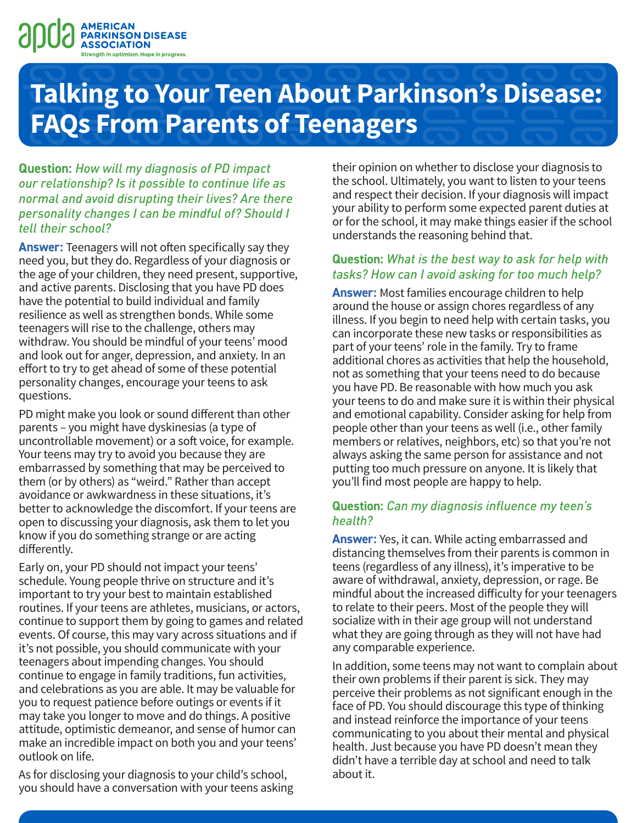

**Question:** *How will my diagnosis of PD impact our relationship? Is it possible to continue life as normal and avoid disrupting their lives? Are there personality changes I can be mindful of? Should I tell their school?*

**Answer:** Teenagers will not often specifically say they need you, but they do. Regardless of your diagnosis or the age of your children, they need present, supportive, and active parents. Disclosing that you have PD does have the potential to build individual and family resilience as well as strengthen bonds. While some teenagers will rise to the challenge, others may withdraw. You should be mindful of your teens' mood and look out for anger, depression, and anxiety. In an effort to try to get ahead of some of these potential personality changes, encourage your teens to ask questions.

PD might make you look or sound different than other parents – you might have dyskinesias (a type of uncontrollable movement) or a soft voice, for example. Your teens may try to avoid you because they are embarrassed by something that may be perceived to them (or by others) as "weird." Rather than accept avoidance or awkwardness in these situations, it's better to acknowledge the discomfort. If your teens are open to discussing your diagnosis, ask them to let you know if you do something strange or are acting differently.

Early on, your PD should not impact your teens' schedule. Young people thrive on structure and it's important to try your best to maintain established routines. If your teens are athletes, musicians, or actors, continue to support them by going to games and related events. Of course, this may vary across situations and if it's not possible, you should communicate with your teenagers about impending changes. You should continue to engage in family traditions, fun activities, and celebrations as you are able. It may be valuable for you to request patience before outings or events if it may take you longer to move and do things. A positive attitude, optimistic demeanor, and sense of humor can make an incredible impact on both you and your teens' outlook on life.

As for disclosing your diagnosis to your child's school, you should have a conversation with your teens asking their opinion on whether to disclose your diagnosis to the school. Ultimately, you want to listen to your teens and respect their decision. If your diagnosis will impact your ability to perform some expected parent duties at or for the school, it may make things easier if the school understands the reasoning behind that.

## **Question:** *What is the best way to ask for help with tasks? How can I avoid asking for too much help?*

**Answer:** Most families encourage children to help around the house or assign chores regardless of any illness. If you begin to need help with certain tasks, you can incorporate these new tasks or responsibilities as part of your teens' role in the family. Try to frame additional chores as activities that help the household, not as something that your teens need to do because you have PD. Be reasonable with how much you ask your teens to do and make sure it is within their physical and emotional capability. Consider asking for help from people other than your teens as well (i.e., other family members or relatives, neighbors, etc) so that you're not always asking the same person for assistance and not putting too much pressure on anyone. It is likely that you'll find most people are happy to help.

#### **Question:** *Can my diagnosis influence my teen's health?*

**Answer:** Yes, it can. While acting embarrassed and distancing themselves from their parents is common in teens (regardless of any illness), it's imperative to be aware of withdrawal, anxiety, depression, or rage. Be mindful about the increased difficulty for your teenagers to relate to their peers. Most of the people they will socialize with in their age group will not understand what they are going through as they will not have had any comparable experience.

In addition, some teens may not want to complain about their own problems if their parent is sick. They may perceive their problems as not significant enough in the face of PD. You should discourage this type of thinking and instead reinforce the importance of your teens communicating to you about their mental and physical health. Just because you have PD doesn't mean they didn't have a terrible day at school and need to talk about it.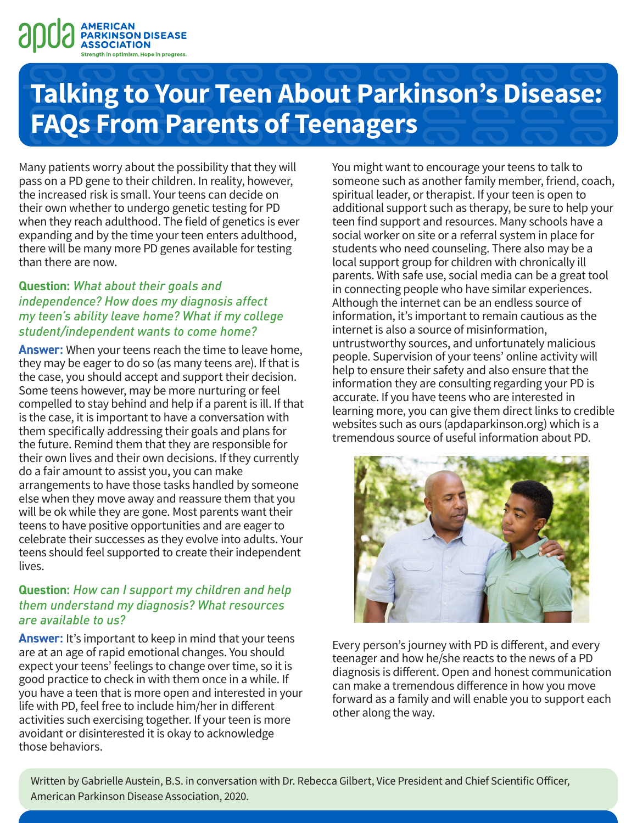

Many patients worry about the possibility that they will pass on a PD gene to their children. In reality, however, the increased risk is small. Your teens can decide on their own whether to undergo genetic testing for PD when they reach adulthood. The field of genetics is ever expanding and by the time your teen enters adulthood, there will be many more PD genes available for testing than there are now.

## **Question:** *What about their goals and independence? How does my diagnosis affect my teen's ability leave home? What if my college student/independent wants to come home?*

**Answer:** When your teens reach the time to leave home, they may be eager to do so (as many teens are). If that is the case, you should accept and support their decision. Some teens however, may be more nurturing or feel compelled to stay behind and help if a parent is ill. If that is the case, it is important to have a conversation with them specifically addressing their goals and plans for the future. Remind them that they are responsible for their own lives and their own decisions. If they currently do a fair amount to assist you, you can make arrangements to have those tasks handled by someone else when they move away and reassure them that you will be ok while they are gone. Most parents want their teens to have positive opportunities and are eager to celebrate their successes as they evolve into adults. Your teens should feel supported to create their independent lives.

## **Question:** *How can I support my children and help them understand my diagnosis? What resources are available to us?*

**Answer:** It's important to keep in mind that your teens are at an age of rapid emotional changes. You should expect your teens' feelings to change over time, so it is good practice to check in with them once in a while. If you have a teen that is more open and interested in your life with PD, feel free to include him/her in different activities such exercising together. If your teen is more avoidant or disinterested it is okay to acknowledge those behaviors.

You might want to encourage your teens to talk to someone such as another family member, friend, coach, spiritual leader, or therapist. If your teen is open to additional support such as therapy, be sure to help your teen find support and resources. Many schools have a social worker on site or a referral system in place for students who need counseling. There also may be a local support group for children with chronically ill parents. With safe use, social media can be a great tool in connecting people who have similar experiences. Although the internet can be an endless source of information, it's important to remain cautious as the internet is also a source of misinformation, untrustworthy sources, and unfortunately malicious people. Supervision of your teens' online activity will help to ensure their safety and also ensure that the information they are consulting regarding your PD is accurate. If you have teens who are interested in learning more, you can give them direct links to credible websites such as ours (apdaparkinson.org) which is a tremendous source of useful information about PD.



Every person's journey with PD is different, and every teenager and how he/she reacts to the news of a PD diagnosis is different. Open and honest communication can make a tremendous difference in how you move forward as a family and will enable you to support each other along the way.

Written by Gabrielle Austein, B.S. in conversation with Dr. Rebecca Gilbert, Vice President and Chief Scientific Officer, American Parkinson Disease Association, 2020.